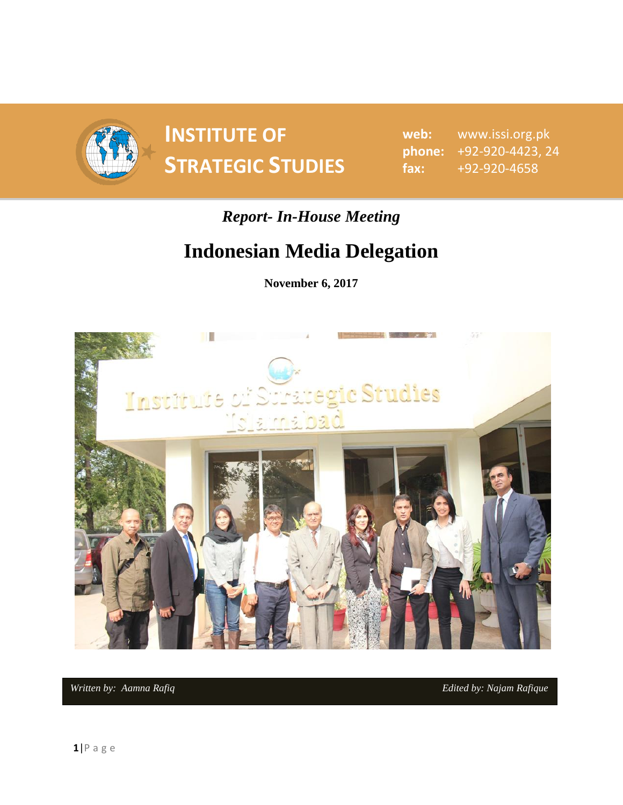

**INSTITUTE OF SPONDITE OF SAMPLE SPONDIES** STRATEGIC STUDIES  $\begin{array}{ccc}\n\text{f} & \text{f} & \text{f} \\
\text{f} & \text{f} & \text{f} \\
\text{f} & \text{f} & \text{f}\n\end{array}$ 

**web:** www.issi.org.pk **phone:** +92-920-4423, 24 **fax:** +92-920-4658

## *Report- In-House Meeting*

## **Indonesian Media Delegation**

**November 6, 2017**



*Written by: Aamna Rafiq <b>Edited by: Najam Rafique* **Edited** by: Najam *Rafique*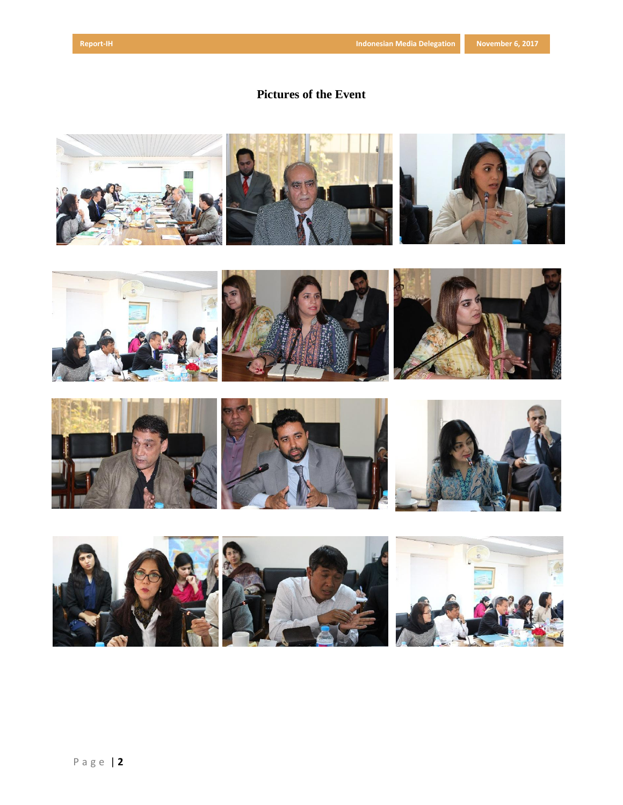## **Pictures of the Event**

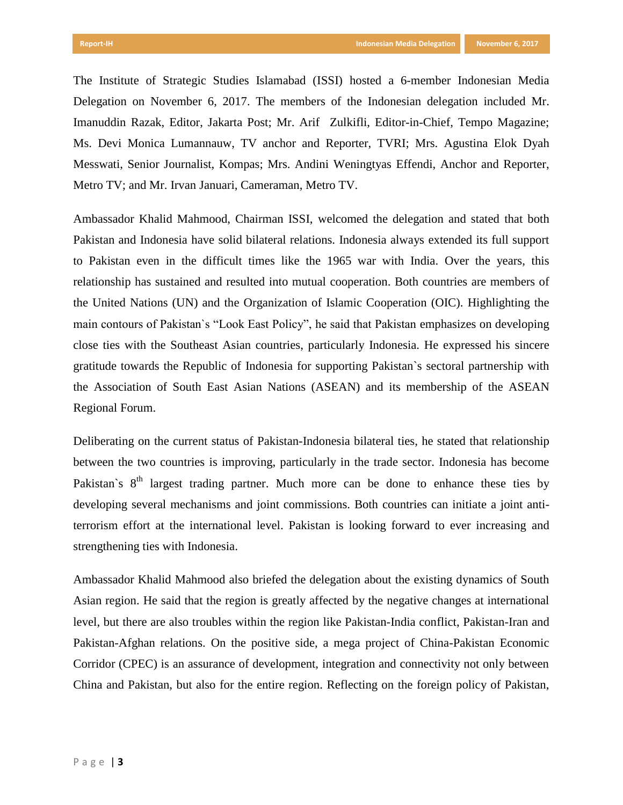The Institute of Strategic Studies Islamabad (ISSI) hosted a 6-member Indonesian Media Delegation on November 6, 2017. The members of the Indonesian delegation included Mr. Imanuddin Razak, Editor, Jakarta Post; Mr. Arif Zulkifli, Editor-in-Chief, Tempo Magazine; Ms. Devi Monica Lumannauw, TV anchor and Reporter, TVRI; Mrs. Agustina Elok Dyah Messwati, Senior Journalist, Kompas; Mrs. Andini Weningtyas Effendi, Anchor and Reporter, Metro TV; and Mr. Irvan Januari, Cameraman, Metro TV.

Ambassador Khalid Mahmood, Chairman ISSI, welcomed the delegation and stated that both Pakistan and Indonesia have solid bilateral relations. Indonesia always extended its full support to Pakistan even in the difficult times like the 1965 war with India. Over the years, this relationship has sustained and resulted into mutual cooperation. Both countries are members of the United Nations (UN) and the Organization of Islamic Cooperation (OIC). Highlighting the main contours of Pakistan`s "Look East Policy", he said that Pakistan emphasizes on developing close ties with the Southeast Asian countries, particularly Indonesia. He expressed his sincere gratitude towards the Republic of Indonesia for supporting Pakistan`s sectoral partnership with the Association of South East Asian Nations (ASEAN) and its membership of the ASEAN Regional Forum.

Deliberating on the current status of Pakistan-Indonesia bilateral ties, he stated that relationship between the two countries is improving, particularly in the trade sector. Indonesia has become Pakistan's  $8<sup>th</sup>$  largest trading partner. Much more can be done to enhance these ties by developing several mechanisms and joint commissions. Both countries can initiate a joint antiterrorism effort at the international level. Pakistan is looking forward to ever increasing and strengthening ties with Indonesia.

Ambassador Khalid Mahmood also briefed the delegation about the existing dynamics of South Asian region. He said that the region is greatly affected by the negative changes at international level, but there are also troubles within the region like Pakistan-India conflict, Pakistan-Iran and Pakistan-Afghan relations. On the positive side, a mega project of China-Pakistan Economic Corridor (CPEC) is an assurance of development, integration and connectivity not only between China and Pakistan, but also for the entire region. Reflecting on the foreign policy of Pakistan,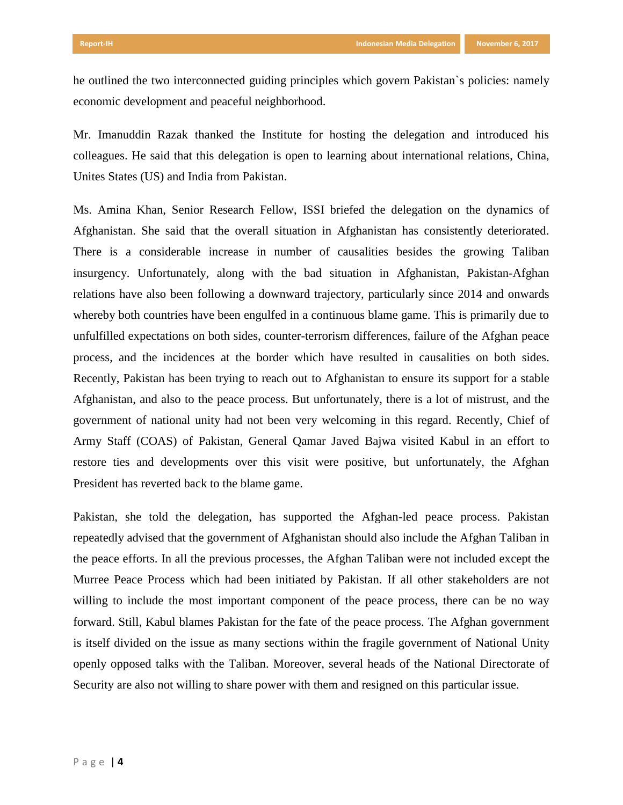he outlined the two interconnected guiding principles which govern Pakistan`s policies: namely economic development and peaceful neighborhood.

Mr. Imanuddin Razak thanked the Institute for hosting the delegation and introduced his colleagues. He said that this delegation is open to learning about international relations, China, Unites States (US) and India from Pakistan.

Ms. Amina Khan, Senior Research Fellow, ISSI briefed the delegation on the dynamics of Afghanistan. She said that the overall situation in Afghanistan has consistently deteriorated. There is a considerable increase in number of causalities besides the growing Taliban insurgency. Unfortunately, along with the bad situation in Afghanistan, Pakistan-Afghan relations have also been following a downward trajectory, particularly since 2014 and onwards whereby both countries have been engulfed in a continuous blame game. This is primarily due to unfulfilled expectations on both sides, counter-terrorism differences, failure of the Afghan peace process, and the incidences at the border which have resulted in causalities on both sides. Recently, Pakistan has been trying to reach out to Afghanistan to ensure its support for a stable Afghanistan, and also to the peace process. But unfortunately, there is a lot of mistrust, and the government of national unity had not been very welcoming in this regard. Recently, Chief of Army Staff (COAS) of Pakistan, General Qamar Javed Bajwa visited Kabul in an effort to restore ties and developments over this visit were positive, but unfortunately, the Afghan President has reverted back to the blame game.

Pakistan, she told the delegation, has supported the Afghan-led peace process. Pakistan repeatedly advised that the government of Afghanistan should also include the Afghan Taliban in the peace efforts. In all the previous processes, the Afghan Taliban were not included except the Murree Peace Process which had been initiated by Pakistan. If all other stakeholders are not willing to include the most important component of the peace process, there can be no way forward. Still, Kabul blames Pakistan for the fate of the peace process. The Afghan government is itself divided on the issue as many sections within the fragile government of National Unity openly opposed talks with the Taliban. Moreover, several heads of the National Directorate of Security are also not willing to share power with them and resigned on this particular issue.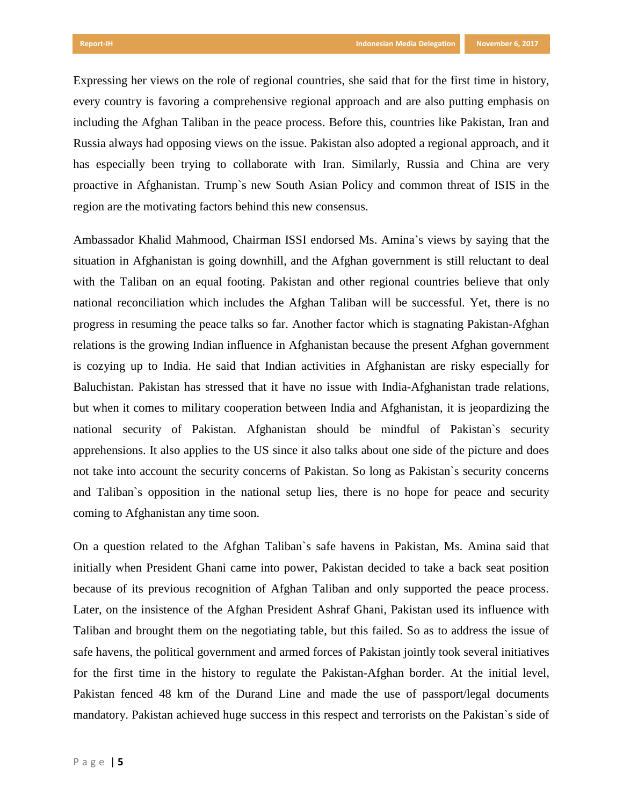Expressing her views on the role of regional countries, she said that for the first time in history, every country is favoring a comprehensive regional approach and are also putting emphasis on including the Afghan Taliban in the peace process. Before this, countries like Pakistan, Iran and Russia always had opposing views on the issue. Pakistan also adopted a regional approach, and it has especially been trying to collaborate with Iran. Similarly, Russia and China are very proactive in Afghanistan. Trump`s new South Asian Policy and common threat of ISIS in the region are the motivating factors behind this new consensus.

Ambassador Khalid Mahmood, Chairman ISSI endorsed Ms. Amina's views by saying that the situation in Afghanistan is going downhill, and the Afghan government is still reluctant to deal with the Taliban on an equal footing. Pakistan and other regional countries believe that only national reconciliation which includes the Afghan Taliban will be successful. Yet, there is no progress in resuming the peace talks so far. Another factor which is stagnating Pakistan-Afghan relations is the growing Indian influence in Afghanistan because the present Afghan government is cozying up to India. He said that Indian activities in Afghanistan are risky especially for Baluchistan. Pakistan has stressed that it have no issue with India-Afghanistan trade relations, but when it comes to military cooperation between India and Afghanistan, it is jeopardizing the national security of Pakistan. Afghanistan should be mindful of Pakistan`s security apprehensions. It also applies to the US since it also talks about one side of the picture and does not take into account the security concerns of Pakistan. So long as Pakistan`s security concerns and Taliban`s opposition in the national setup lies, there is no hope for peace and security coming to Afghanistan any time soon.

On a question related to the Afghan Taliban`s safe havens in Pakistan, Ms. Amina said that initially when President Ghani came into power, Pakistan decided to take a back seat position because of its previous recognition of Afghan Taliban and only supported the peace process. Later, on the insistence of the Afghan President Ashraf Ghani, Pakistan used its influence with Taliban and brought them on the negotiating table, but this failed. So as to address the issue of safe havens, the political government and armed forces of Pakistan jointly took several initiatives for the first time in the history to regulate the Pakistan-Afghan border. At the initial level, Pakistan fenced 48 km of the Durand Line and made the use of passport/legal documents mandatory. Pakistan achieved huge success in this respect and terrorists on the Pakistan`s side of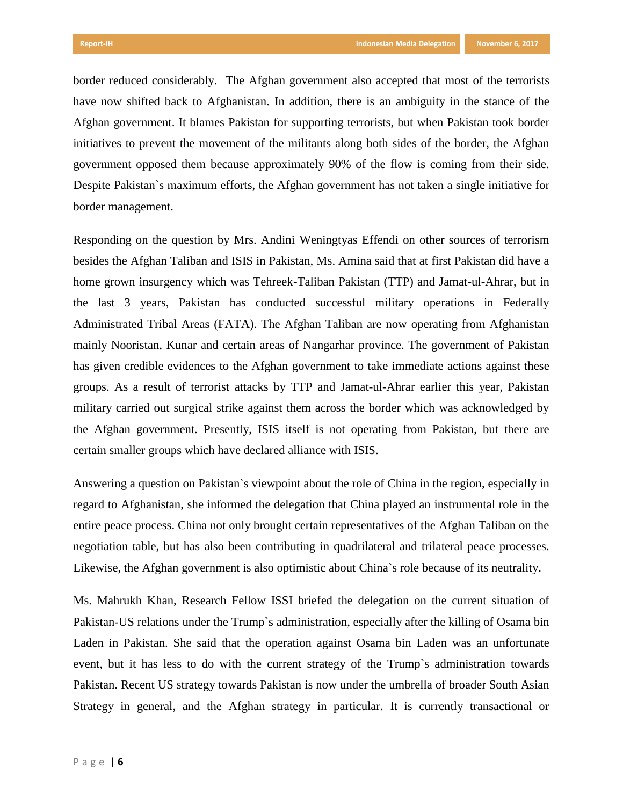border reduced considerably. The Afghan government also accepted that most of the terrorists have now shifted back to Afghanistan. In addition, there is an ambiguity in the stance of the Afghan government. It blames Pakistan for supporting terrorists, but when Pakistan took border initiatives to prevent the movement of the militants along both sides of the border, the Afghan government opposed them because approximately 90% of the flow is coming from their side. Despite Pakistan`s maximum efforts, the Afghan government has not taken a single initiative for border management.

Responding on the question by Mrs. Andini Weningtyas Effendi on other sources of terrorism besides the Afghan Taliban and ISIS in Pakistan, Ms. Amina said that at first Pakistan did have a home grown insurgency which was Tehreek-Taliban Pakistan (TTP) and Jamat-ul-Ahrar, but in the last 3 years, Pakistan has conducted successful military operations in Federally Administrated Tribal Areas (FATA). The Afghan Taliban are now operating from Afghanistan mainly Nooristan, Kunar and certain areas of Nangarhar province. The government of Pakistan has given credible evidences to the Afghan government to take immediate actions against these groups. As a result of terrorist attacks by TTP and Jamat-ul-Ahrar earlier this year, Pakistan military carried out surgical strike against them across the border which was acknowledged by the Afghan government. Presently, ISIS itself is not operating from Pakistan, but there are certain smaller groups which have declared alliance with ISIS.

Answering a question on Pakistan`s viewpoint about the role of China in the region, especially in regard to Afghanistan, she informed the delegation that China played an instrumental role in the entire peace process. China not only brought certain representatives of the Afghan Taliban on the negotiation table, but has also been contributing in quadrilateral and trilateral peace processes. Likewise, the Afghan government is also optimistic about China`s role because of its neutrality.

Ms. Mahrukh Khan, Research Fellow ISSI briefed the delegation on the current situation of Pakistan-US relations under the Trump`s administration, especially after the killing of Osama bin Laden in Pakistan. She said that the operation against Osama bin Laden was an unfortunate event, but it has less to do with the current strategy of the Trump`s administration towards Pakistan. Recent US strategy towards Pakistan is now under the umbrella of broader South Asian Strategy in general, and the Afghan strategy in particular. It is currently transactional or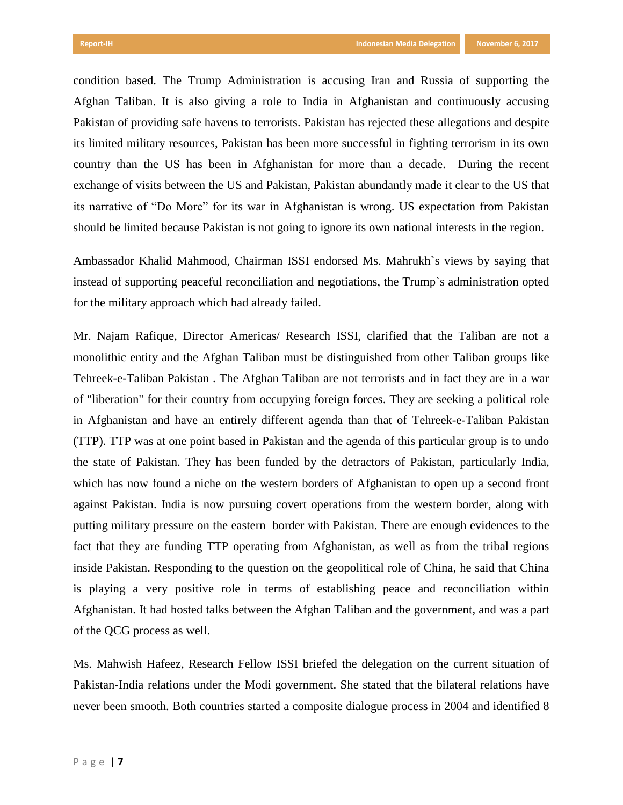condition based. The Trump Administration is accusing Iran and Russia of supporting the Afghan Taliban. It is also giving a role to India in Afghanistan and continuously accusing Pakistan of providing safe havens to terrorists. Pakistan has rejected these allegations and despite its limited military resources, Pakistan has been more successful in fighting terrorism in its own country than the US has been in Afghanistan for more than a decade. During the recent exchange of visits between the US and Pakistan, Pakistan abundantly made it clear to the US that its narrative of "Do More" for its war in Afghanistan is wrong. US expectation from Pakistan should be limited because Pakistan is not going to ignore its own national interests in the region.

Ambassador Khalid Mahmood, Chairman ISSI endorsed Ms. Mahrukh`s views by saying that instead of supporting peaceful reconciliation and negotiations, the Trump`s administration opted for the military approach which had already failed.

Mr. Najam Rafique, Director Americas/ Research ISSI, clarified that the Taliban are not a monolithic entity and the Afghan Taliban must be distinguished from other Taliban groups like Tehreek-e-Taliban Pakistan . The Afghan Taliban are not terrorists and in fact they are in a war of "liberation" for their country from occupying foreign forces. They are seeking a political role in Afghanistan and have an entirely different agenda than that of Tehreek-e-Taliban Pakistan (TTP). TTP was at one point based in Pakistan and the agenda of this particular group is to undo the state of Pakistan. They has been funded by the detractors of Pakistan, particularly India, which has now found a niche on the western borders of Afghanistan to open up a second front against Pakistan. India is now pursuing covert operations from the western border, along with putting military pressure on the eastern border with Pakistan. There are enough evidences to the fact that they are funding TTP operating from Afghanistan, as well as from the tribal regions inside Pakistan. Responding to the question on the geopolitical role of China, he said that China is playing a very positive role in terms of establishing peace and reconciliation within Afghanistan. It had hosted talks between the Afghan Taliban and the government, and was a part of the QCG process as well.

Ms. Mahwish Hafeez, Research Fellow ISSI briefed the delegation on the current situation of Pakistan-India relations under the Modi government. She stated that the bilateral relations have never been smooth. Both countries started a composite dialogue process in 2004 and identified 8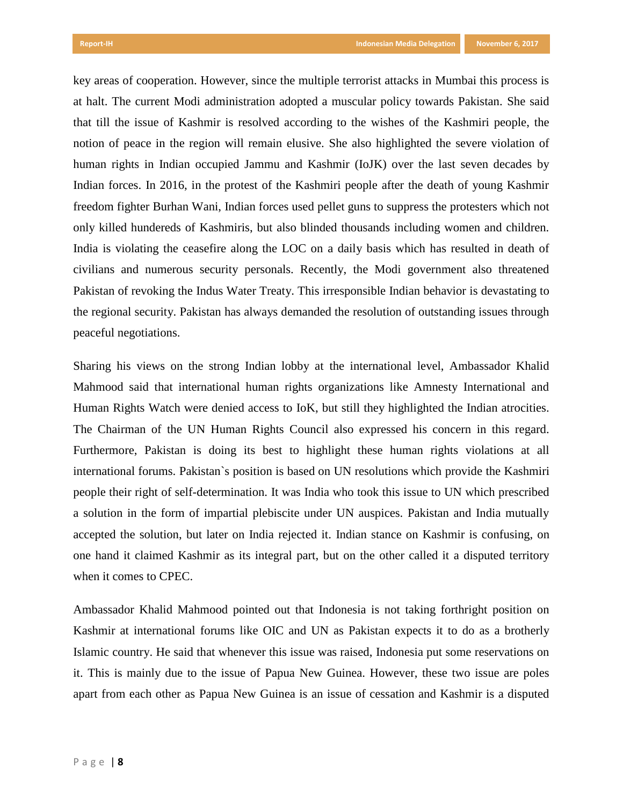key areas of cooperation. However, since the multiple terrorist attacks in Mumbai this process is at halt. The current Modi administration adopted a muscular policy towards Pakistan. She said that till the issue of Kashmir is resolved according to the wishes of the Kashmiri people, the notion of peace in the region will remain elusive. She also highlighted the severe violation of human rights in Indian occupied Jammu and Kashmir (IoJK) over the last seven decades by Indian forces. In 2016, in the protest of the Kashmiri people after the death of young Kashmir freedom fighter Burhan Wani, Indian forces used pellet guns to suppress the protesters which not only killed hundereds of Kashmiris, but also blinded thousands including women and children. India is violating the ceasefire along the LOC on a daily basis which has resulted in death of civilians and numerous security personals. Recently, the Modi government also threatened Pakistan of revoking the Indus Water Treaty. This irresponsible Indian behavior is devastating to the regional security. Pakistan has always demanded the resolution of outstanding issues through peaceful negotiations.

Sharing his views on the strong Indian lobby at the international level, Ambassador Khalid Mahmood said that international human rights organizations like Amnesty International and Human Rights Watch were denied access to IoK, but still they highlighted the Indian atrocities. The Chairman of the UN Human Rights Council also expressed his concern in this regard. Furthermore, Pakistan is doing its best to highlight these human rights violations at all international forums. Pakistan`s position is based on UN resolutions which provide the Kashmiri people their right of self-determination. It was India who took this issue to UN which prescribed a solution in the form of impartial plebiscite under UN auspices. Pakistan and India mutually accepted the solution, but later on India rejected it. Indian stance on Kashmir is confusing, on one hand it claimed Kashmir as its integral part, but on the other called it a disputed territory when it comes to CPEC.

Ambassador Khalid Mahmood pointed out that Indonesia is not taking forthright position on Kashmir at international forums like OIC and UN as Pakistan expects it to do as a brotherly Islamic country. He said that whenever this issue was raised, Indonesia put some reservations on it. This is mainly due to the issue of Papua New Guinea. However, these two issue are poles apart from each other as Papua New Guinea is an issue of cessation and Kashmir is a disputed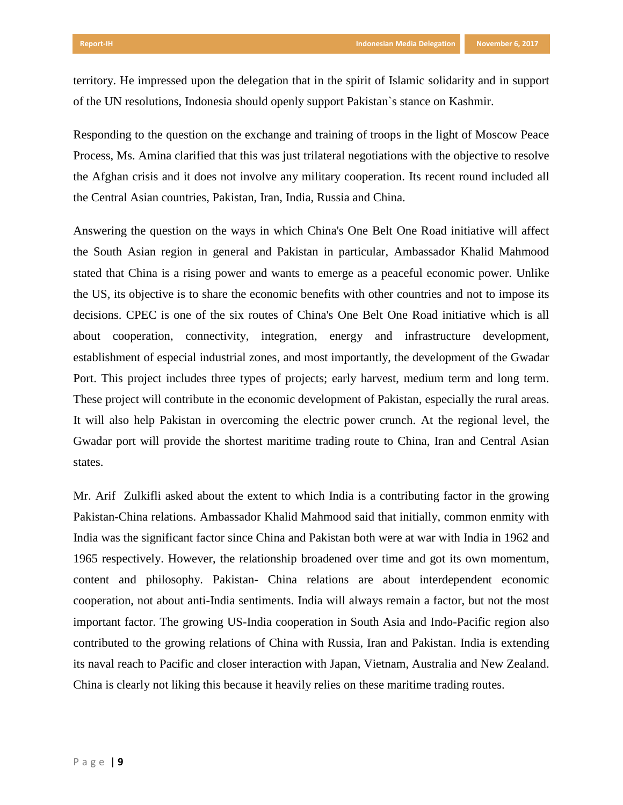territory. He impressed upon the delegation that in the spirit of Islamic solidarity and in support of the UN resolutions, Indonesia should openly support Pakistan`s stance on Kashmir.

Responding to the question on the exchange and training of troops in the light of Moscow Peace Process, Ms. Amina clarified that this was just trilateral negotiations with the objective to resolve the Afghan crisis and it does not involve any military cooperation. Its recent round included all the Central Asian countries, Pakistan, Iran, India, Russia and China.

Answering the question on the ways in which China's One Belt One Road initiative will affect the South Asian region in general and Pakistan in particular, Ambassador Khalid Mahmood stated that China is a rising power and wants to emerge as a peaceful economic power. Unlike the US, its objective is to share the economic benefits with other countries and not to impose its decisions. CPEC is one of the six routes of China's One Belt One Road initiative which is all about cooperation, connectivity, integration, energy and infrastructure development, establishment of especial industrial zones, and most importantly, the development of the Gwadar Port. This project includes three types of projects; early harvest, medium term and long term. These project will contribute in the economic development of Pakistan, especially the rural areas. It will also help Pakistan in overcoming the electric power crunch. At the regional level, the Gwadar port will provide the shortest maritime trading route to China, Iran and Central Asian states.

Mr. Arif Zulkifli asked about the extent to which India is a contributing factor in the growing Pakistan-China relations. Ambassador Khalid Mahmood said that initially, common enmity with India was the significant factor since China and Pakistan both were at war with India in 1962 and 1965 respectively. However, the relationship broadened over time and got its own momentum, content and philosophy. Pakistan- China relations are about interdependent economic cooperation, not about anti-India sentiments. India will always remain a factor, but not the most important factor. The growing US-India cooperation in South Asia and Indo-Pacific region also contributed to the growing relations of China with Russia, Iran and Pakistan. India is extending its naval reach to Pacific and closer interaction with Japan, Vietnam, Australia and New Zealand. China is clearly not liking this because it heavily relies on these maritime trading routes.